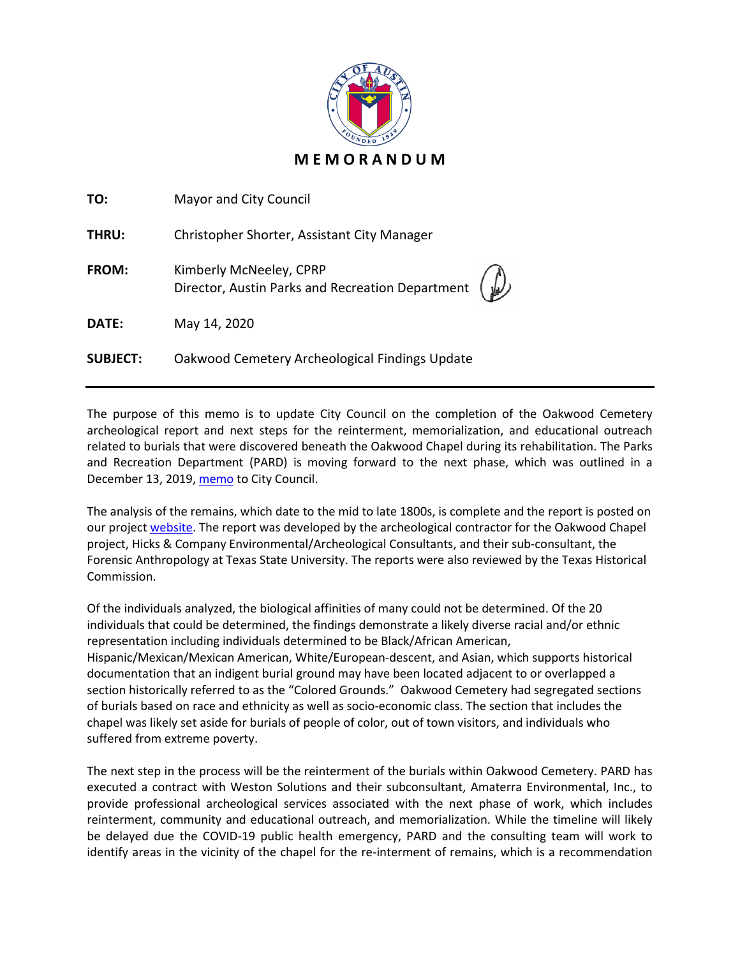

| TO:             | Mayor and City Council                                                                                             |
|-----------------|--------------------------------------------------------------------------------------------------------------------|
| THRU:           | Christopher Shorter, Assistant City Manager                                                                        |
| FROM:           | Kimberly McNeeley, CPRP<br>Director, Austin Parks and Recreation Department $\begin{pmatrix} 1 \\ 1 \end{pmatrix}$ |
| DATE:           | May 14, 2020                                                                                                       |
| <b>SUBJECT:</b> | Oakwood Cemetery Archeological Findings Update                                                                     |

The purpose of this memo is to update City Council on the completion of the Oakwood Cemetery archeological report and next steps for the reinterment, memorialization, and educational outreach related to burials that were discovered beneath the Oakwood Chapel during its rehabilitation. The Parks and Recreation Department (PARD) is moving forward to the next phase, which was outlined in a December 13, 2019[, memo](http://www.austintexas.gov/edims/pio/document.cfm?id=332920) to City Council.

The analysis of the remains, which date to the mid to late 1800s, is complete and the report is posted on our project [website.](https://www.austintexas.gov/department/oakwood-cemetery-chapel-rehabilitation) The report was developed by the archeological contractor for the Oakwood Chapel project, Hicks & Company Environmental/Archeological Consultants, and their sub-consultant, the Forensic Anthropology at Texas State University. The reports were also reviewed by the Texas Historical Commission.

Of the individuals analyzed, the biological affinities of many could not be determined. Of the 20 individuals that could be determined, the findings demonstrate a likely diverse racial and/or ethnic representation including individuals determined to be Black/African American, Hispanic/Mexican/Mexican American, White/European-descent, and Asian, which supports historical documentation that an indigent burial ground may have been located adjacent to or overlapped a section historically referred to as the "Colored Grounds." Oakwood Cemetery had segregated sections of burials based on race and ethnicity as well as socio-economic class. The section that includes the chapel was likely set aside for burials of people of color, out of town visitors, and individuals who suffered from extreme poverty.

The next step in the process will be the reinterment of the burials within Oakwood Cemetery. PARD has executed a contract with Weston Solutions and their subconsultant, Amaterra Environmental, Inc., to provide professional archeological services associated with the next phase of work, which includes reinterment, community and educational outreach, and memorialization. While the timeline will likely be delayed due the COVID-19 public health emergency, PARD and the consulting team will work to identify areas in the vicinity of the chapel for the re-interment of remains, which is a recommendation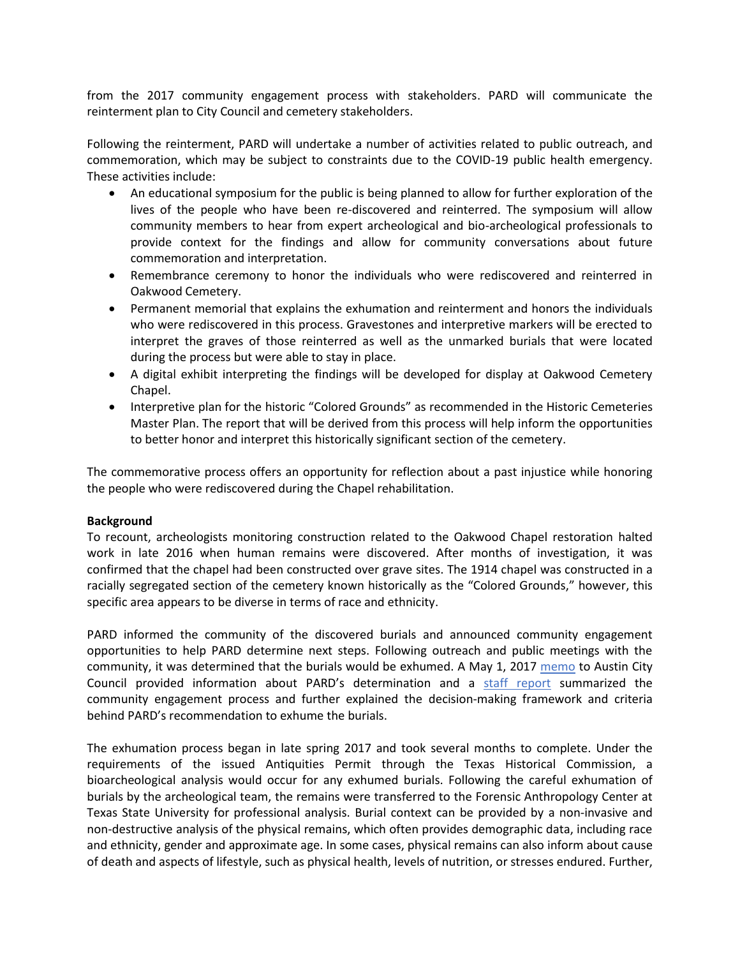from the 2017 community engagement process with stakeholders. PARD will communicate the reinterment plan to City Council and cemetery stakeholders.

Following the reinterment, PARD will undertake a number of activities related to public outreach, and commemoration, which may be subject to constraints due to the COVID-19 public health emergency. These activities include:

- An educational symposium for the public is being planned to allow for further exploration of the lives of the people who have been re-discovered and reinterred. The symposium will allow community members to hear from expert archeological and bio-archeological professionals to provide context for the findings and allow for community conversations about future commemoration and interpretation.
- Remembrance ceremony to honor the individuals who were rediscovered and reinterred in Oakwood Cemetery.
- Permanent memorial that explains the exhumation and reinterment and honors the individuals who were rediscovered in this process. Gravestones and interpretive markers will be erected to interpret the graves of those reinterred as well as the unmarked burials that were located during the process but were able to stay in place.
- A digital exhibit interpreting the findings will be developed for display at Oakwood Cemetery Chapel.
- Interpretive plan for the historic "Colored Grounds" as recommended in the Historic Cemeteries Master Plan. The report that will be derived from this process will help inform the opportunities to better honor and interpret this historically significant section of the cemetery.

The commemorative process offers an opportunity for reflection about a past injustice while honoring the people who were rediscovered during the Chapel rehabilitation.

## **Background**

To recount, archeologists monitoring construction related to the Oakwood Chapel restoration halted work in late 2016 when human remains were discovered. After months of investigation, it was confirmed that the chapel had been constructed over grave sites. The 1914 chapel was constructed in a racially segregated section of the cemetery known historically as the "Colored Grounds," however, this specific area appears to be diverse in terms of race and ethnicity.

PARD informed the community of the discovered burials and announced community engagement opportunities to help PARD determine next steps. Following outreach and public meetings with the community, it was determined that the burials would be exhumed. A May 1, 2017 [memo](https://www.austintexas.gov/edims/pio/document.cfm?id=276185) to Austin City Council provided information about PARD's determination and a [staff report](https://www.austintexas.gov/sites/default/files/files/Parks/Planning_and_Development/172704_FINAL_BINDER_OakwoodStaffReport.pdf) summarized the community engagement process and further explained the decision-making framework and criteria behind PARD's recommendation to exhume the burials.

The exhumation process began in late spring 2017 and took several months to complete. Under the requirements of the issued Antiquities Permit through the Texas Historical Commission, a bioarcheological analysis would occur for any exhumed burials. Following the careful exhumation of burials by the archeological team, the remains were transferred to the Forensic Anthropology Center at Texas State University for professional analysis. Burial context can be provided by a non‐invasive and non-destructive analysis of the physical remains, which often provides demographic data, including race and ethnicity, gender and approximate age. In some cases, physical remains can also inform about cause of death and aspects of lifestyle, such as physical health, levels of nutrition, or stresses endured. Further,